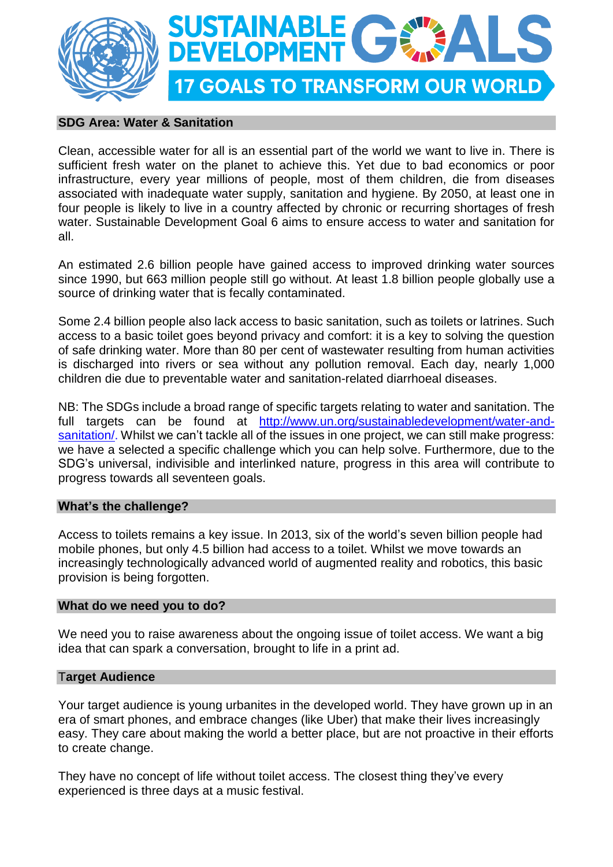



## **SDG Area: Water & Sanitation**

Clean, accessible water for all is an essential part of the world we want to live in. There is sufficient fresh water on the planet to achieve this. Yet due to bad economics or poor infrastructure, every year millions of people, most of them children, die from diseases associated with inadequate water supply, sanitation and hygiene. By 2050, at least one in four people is likely to live in a country affected by chronic or recurring shortages of fresh water. Sustainable Development Goal 6 aims to ensure access to water and sanitation for all.

An estimated 2.6 billion people have gained access to improved drinking water sources since 1990, but 663 million people still go without. At least 1.8 billion people globally use a source of drinking water that is fecally contaminated.

Some 2.4 billion people also lack access to basic sanitation, such as toilets or latrines. Such access to a basic toilet goes beyond privacy and comfort: it is a key to solving the question of safe drinking water. More than 80 per cent of wastewater resulting from human activities is discharged into rivers or sea without any pollution removal. Each day, nearly 1,000 children die due to preventable water and sanitation-related diarrhoeal diseases.

NB: The SDGs include a broad range of specific targets relating to water and sanitation. The full targets can be found at [http://www.un.org/sustainabledevelopment/water-and](http://www.un.org/sustainabledevelopment/water-and-sanitation/)[sanitation/.](http://www.un.org/sustainabledevelopment/water-and-sanitation/) Whilst we can't tackle all of the issues in one project, we can still make progress: we have a selected a specific challenge which you can help solve. Furthermore, due to the SDG's universal, indivisible and interlinked nature, progress in this area will contribute to progress towards all seventeen goals.

### **What's the challenge?**

Access to toilets remains a key issue. In 2013, six of the world's seven billion people had mobile phones, but only 4.5 billion had access to a toilet. Whilst we move towards an increasingly technologically advanced world of augmented reality and robotics, this basic provision is being forgotten.

### **What do we need you to do?**

We need you to raise awareness about the ongoing issue of toilet access. We want a big idea that can spark a conversation, brought to life in a print ad.

### T**arget Audience**

Your target audience is young urbanites in the developed world. They have grown up in an era of smart phones, and embrace changes (like Uber) that make their lives increasingly easy. They care about making the world a better place, but are not proactive in their efforts to create change.

They have no concept of life without toilet access. The closest thing they've every experienced is three days at a music festival.